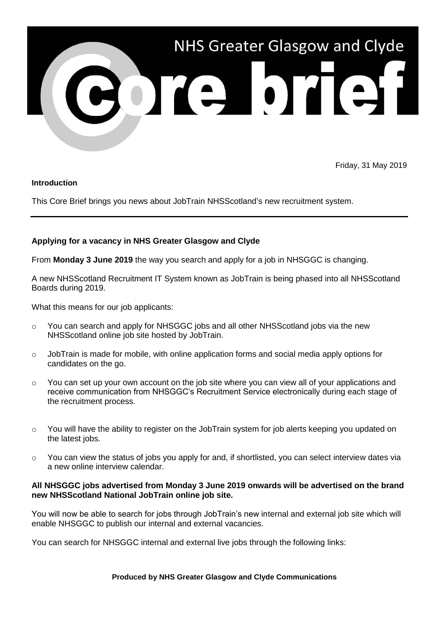

Friday, 31 May 2019

## **Introduction**

This Core Brief brings you news about JobTrain NHSScotland's new recruitment system.

## **Applying for a vacancy in NHS Greater Glasgow and Clyde**

From **Monday 3 June 2019** the way you search and apply for a job in NHSGGC is changing.

A new NHSScotland Recruitment IT System known as JobTrain is being phased into all NHSScotland Boards during 2019.

What this means for our job applicants:

- $\circ$  You can search and apply for NHSGGC jobs and all other NHSScotland jobs via the new NHSScotland online job site hosted by JobTrain.
- $\circ$  JobTrain is made for mobile, with online application forms and social media apply options for candidates on the go.
- $\circ$  You can set up your own account on the job site where you can view all of your applications and receive communication from NHSGGC's Recruitment Service electronically during each stage of the recruitment process.
- $\circ$  You will have the ability to register on the JobTrain system for job alerts keeping you updated on the latest jobs.
- o You can view the status of jobs you apply for and, if shortlisted, you can select interview dates via a new online interview calendar.

## **All NHSGGC jobs advertised from Monday 3 June 2019 onwards will be advertised on the brand new NHSScotland National JobTrain online job site.**

You will now be able to search for jobs through JobTrain's new internal and external job site which will enable NHSGGC to publish our internal and external vacancies.

You can search for NHSGGC internal and external live jobs through the following links:

**Produced by NHS Greater Glasgow and Clyde Communications**